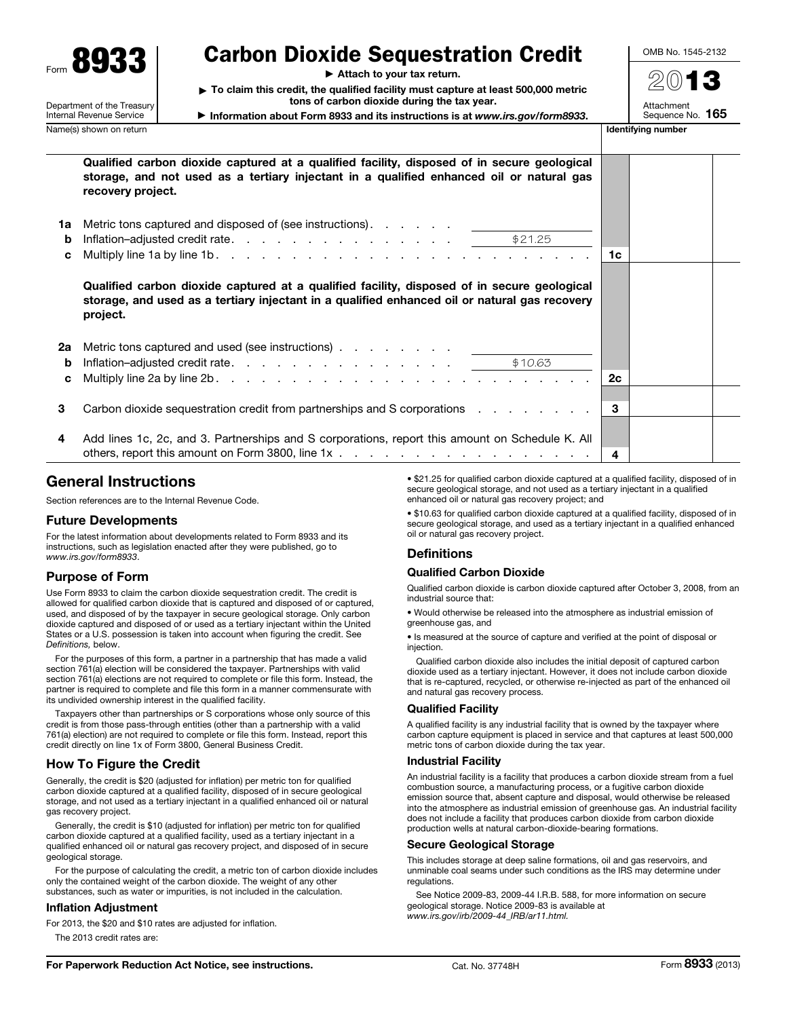

# Department of the Treasury Internal Revenue Service

# Carbon Dioxide Sequestration Credit

▶ Attach to your tax return.

▶ To claim this credit, the qualified facility must capture at least 500,000 metric tons of carbon dioxide during the tax year.

▶ Information about Form 8933 and its instructions is at *www.irs.gov/form8933*.

2013

OMB No. 1545-2132

Attachment<br>Sequence No. 165

Name(s) shown on return **Identifying number** 

|              | Qualified carbon dioxide captured at a qualified facility, disposed of in secure geological<br>storage, and not used as a tertiary injectant in a qualified enhanced oil or natural gas<br>recovery project.                                                              |       |  |
|--------------|---------------------------------------------------------------------------------------------------------------------------------------------------------------------------------------------------------------------------------------------------------------------------|-------|--|
| 1a<br>b<br>C | Metric tons captured and disposed of (see instructions).                                                                                                                                                                                                                  | ∣ 1c  |  |
|              | Qualified carbon dioxide captured at a qualified facility, disposed of in secure geological<br>storage, and used as a tertiary injectant in a qualified enhanced oil or natural gas recovery<br>project.                                                                  |       |  |
| 2a<br>b<br>C | Metric tons captured and used (see instructions) entertainment of the state of the state of the Metrician Solution Superior Superior Superior Superior Superior Superior Superior Superior Superior Superior Superior Superior<br>Inflation-adjusted credit rate. \$10.63 | l 2c. |  |
| 3            | Carbon dioxide sequestration credit from partnerships and S corporations                                                                                                                                                                                                  | 3     |  |
| 4            | Add lines 1c, 2c, and 3. Partnerships and S corporations, report this amount on Schedule K. All                                                                                                                                                                           | 4     |  |

# General Instructions

Section references are to the Internal Revenue Code.

## Future Developments

For the latest information about developments related to Form 8933 and its instructions, such as legislation enacted after they were published, go to *www.irs.gov/form8933*.

# Purpose of Form

Use Form 8933 to claim the carbon dioxide sequestration credit. The credit is allowed for qualified carbon dioxide that is captured and disposed of or captured, used, and disposed of by the taxpayer in secure geological storage. Only carbon dioxide captured and disposed of or used as a tertiary injectant within the United States or a U.S. possession is taken into account when figuring the credit. See *Definitions,* below.

For the purposes of this form, a partner in a partnership that has made a valid section 761(a) election will be considered the taxpayer. Partnerships with valid section 761(a) elections are not required to complete or file this form. Instead, the partner is required to complete and file this form in a manner commensurate with its undivided ownership interest in the qualified facility.

Taxpayers other than partnerships or S corporations whose only source of this credit is from those pass-through entities (other than a partnership with a valid 761(a) election) are not required to complete or file this form. Instead, report this credit directly on line 1x of Form 3800, General Business Credit.

## How To Figure the Credit

Generally, the credit is \$20 (adjusted for inflation) per metric ton for qualified carbon dioxide captured at a qualified facility, disposed of in secure geological storage, and not used as a tertiary injectant in a qualified enhanced oil or natural gas recovery project.

Generally, the credit is \$10 (adjusted for inflation) per metric ton for qualified carbon dioxide captured at a qualified facility, used as a tertiary injectant in a qualified enhanced oil or natural gas recovery project, and disposed of in secure geological storage.

For the purpose of calculating the credit, a metric ton of carbon dioxide includes only the contained weight of the carbon dioxide. The weight of any other substances, such as water or impurities, is not included in the calculation.

### Inflation Adjustment

For 2013, the \$20 and \$10 rates are adjusted for inflation.

The 2013 credit rates are:

• \$21.25 for qualified carbon dioxide captured at a qualified facility, disposed of in secure geological storage, and not used as a tertiary injectant in a qualified enhanced oil or natural gas recovery project; and

• \$10.63 for qualified carbon dioxide captured at a qualified facility, disposed of in secure geological storage, and used as a tertiary injectant in a qualified enhanced oil or natural gas recovery project.

# **Definitions**

## Qualified Carbon Dioxide

Qualified carbon dioxide is carbon dioxide captured after October 3, 2008, from an industrial source that:

• Would otherwise be released into the atmosphere as industrial emission of greenhouse gas, and

• Is measured at the source of capture and verified at the point of disposal or injection.

Qualified carbon dioxide also includes the initial deposit of captured carbon dioxide used as a tertiary injectant. However, it does not include carbon dioxide that is re-captured, recycled, or otherwise re-injected as part of the enhanced oil and natural gas recovery process.

## Qualified Facility

A qualified facility is any industrial facility that is owned by the taxpayer where carbon capture equipment is placed in service and that captures at least 500,000 metric tons of carbon dioxide during the tax year.

### Industrial Facility

An industrial facility is a facility that produces a carbon dioxide stream from a fuel combustion source, a manufacturing process, or a fugitive carbon dioxide emission source that, absent capture and disposal, would otherwise be released into the atmosphere as industrial emission of greenhouse gas. An industrial facility does not include a facility that produces carbon dioxide from carbon dioxide production wells at natural carbon-dioxide-bearing formations.

### Secure Geological Storage

This includes storage at deep saline formations, oil and gas reservoirs, and unminable coal seams under such conditions as the IRS may determine under regulations.

See Notice 2009-83, 2009-44 I.R.B. 588, for more information on secure geological storage. Notice 2009-83 is available at *www.irs.gov/irb/2009-44\_IRB/ar11.html.*